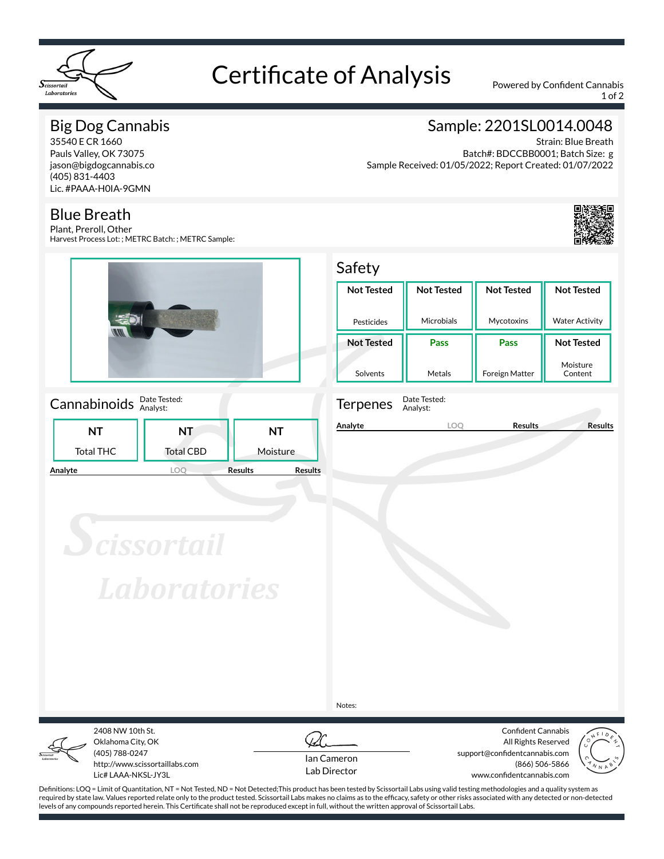

# Certificate of Analysis Powered by Confident Cannabis

1 of 2

## Big Dog Cannabis

35540 E CR 1660 Pauls Valley, OK 73075 jason@bigdogcannabis.co (405) 831-4403 Lic. #PAAA-H0IA-9GMN

### Blue Breath

Plant, Preroll, Other Harvest Process Lot: ; METRC Batch: ; METRC Sample:



Cannabinoids **Date Tested:** 

|           | NT               | NT                               |  |  |
|-----------|------------------|----------------------------------|--|--|
| Total THC | <b>Total CBD</b> | Moisture                         |  |  |
| Analyte   |                  | <b>Results</b><br><b>Results</b> |  |  |

# Sample: 2201SL0014.0048

Strain: Blue Breath Batch#: BDCCBB0001; Batch Size: g Sample Received: 01/05/2022; Report Created: 01/07/2022



#### Safety **Not Tested** Pesticides **Not Tested** Microbials **Not Tested** Mycotoxins **Not Tested** Water Activity **Not Tested** Solvents **Pass** Metals **Pass** Foreign Matter **Not Tested** Moisture Content



Terpenes Date Tested: Analyst:

**Analyte LOQ Results Results**

**Scissortail Laboratories** 

Notes:



Oklahoma City, OK (405) 788-0247 http://www.scissortaillabs.com Lic# LAAA-NKSL-JY3L

2408 NW 10th St.



Confident Cannabis All Rights Reserved support@confidentcannabis.com (866) 506-5866 www.confidentcannabis.com



Definitions: LOQ = Limit of Quantitation, NT = Not Tested, ND = Not Detected;This product has been tested by Scissortail Labs using valid testing methodologies and a quality system as required by state law. Values reported relate only to the product tested. Scissortail Labs makes no claims as to the efficacy, safety or other risks associated with any detected or non-detected levels of any compounds reported herein. This Certificate shall not be reproduced except in full, without the written approval of Scissortail Labs.